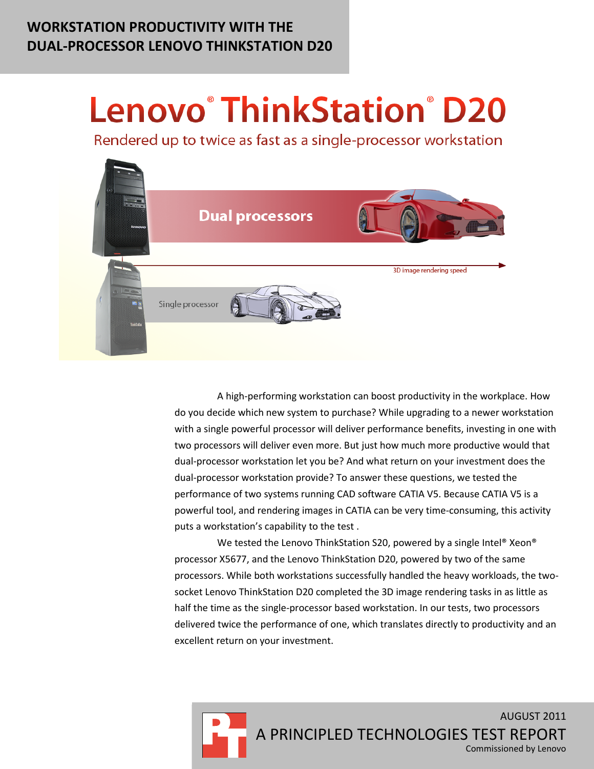## **WORKSTATION PRODUCTIVITY WITH THE DUAL-PROCESSOR LENOVO THINKSTATION D20**

# **Lenovo<sup>®</sup> ThinkStation<sup>®</sup> D20**

Rendered up to twice as fast as a single-processor workstation



A high-performing workstation can boost productivity in the workplace. How do you decide which new system to purchase? While upgrading to a newer workstation with a single powerful processor will deliver performance benefits, investing in one with two processors will deliver even more. But just how much more productive would that dual-processor workstation let you be? And what return on your investment does the dual-processor workstation provide? To answer these questions, we tested the performance of two systems running CAD software CATIA V5. Because CATIA V5 is a powerful tool, and rendering images in CATIA can be very time-consuming, this activity puts a workstation's capability to the test .

We tested the Lenovo ThinkStation S20, powered by a single Intel® Xeon® processor X5677, and the Lenovo ThinkStation D20, powered by two of the same processors. While both workstations successfully handled the heavy workloads, the twosocket Lenovo ThinkStation D20 completed the 3D image rendering tasks in as little as half the time as the single-processor based workstation. In our tests, two processors delivered twice the performance of one, which translates directly to productivity and an excellent return on your investment.

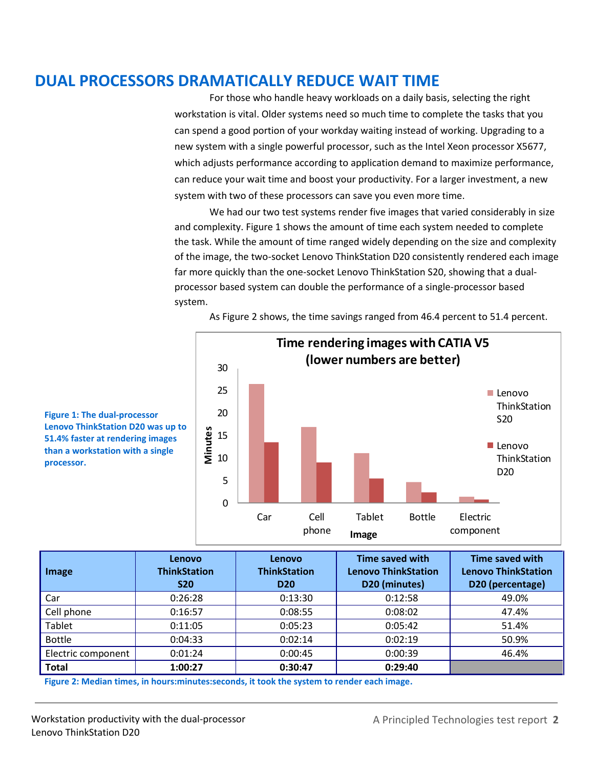## **DUAL PROCESSORS DRAMATICALLY REDUCE WAIT TIME**

For those who handle heavy workloads on a daily basis, selecting the right workstation is vital. Older systems need so much time to complete the tasks that you can spend a good portion of your workday waiting instead of working. Upgrading to a new system with a single powerful processor, such as the Intel Xeon processor X5677, which adjusts performance according to application demand to maximize performance, can reduce your wait time and boost your productivity. For a larger investment, a new system with two of these processors can save you even more time.

We had our two test systems render five images that varied considerably in size and complexity. Figure 1 shows the amount of time each system needed to complete the task. While the amount of time ranged widely depending on the size and complexity of the image, the two-socket Lenovo ThinkStation D20 consistently rendered each image far more quickly than the one-socket Lenovo ThinkStation S20, showing that a dualprocessor based system can double the performance of a single-processor based system.



As Figure 2 shows, the time savings ranged from 46.4 percent to 51.4 percent.

**Figure 1: The dual-processor Lenovo ThinkStation D20 was up to 51.4% faster at rendering images than a workstation with a single processor.**

| Image              | Lenovo<br><b>ThinkStation</b><br><b>S20</b> | Lenovo<br><b>ThinkStation</b><br><b>D20</b> | Time saved with<br><b>Lenovo ThinkStation</b><br>D20 (minutes) | Time saved with<br><b>Lenovo ThinkStation</b><br>D20 (percentage) |
|--------------------|---------------------------------------------|---------------------------------------------|----------------------------------------------------------------|-------------------------------------------------------------------|
| Car                | 0:26:28                                     | 0:13:30                                     | 0:12:58                                                        | 49.0%                                                             |
| Cell phone         | 0:16:57                                     | 0:08:55                                     | 0:08:02                                                        | 47.4%                                                             |
| Tablet             | 0:11:05                                     | 0:05:23                                     | 0:05:42                                                        | 51.4%                                                             |
| <b>Bottle</b>      | 0:04:33                                     | 0:02:14                                     | 0:02:19                                                        | 50.9%                                                             |
| Electric component | 0:01:24                                     | 0:00:45                                     | 0:00:39                                                        | 46.4%                                                             |
| <b>Total</b>       | 1:00:27                                     | 0:30:47                                     | 0:29:40                                                        |                                                                   |

**Figure 2: Median times, in hours:minutes:seconds, it took the system to render each image.**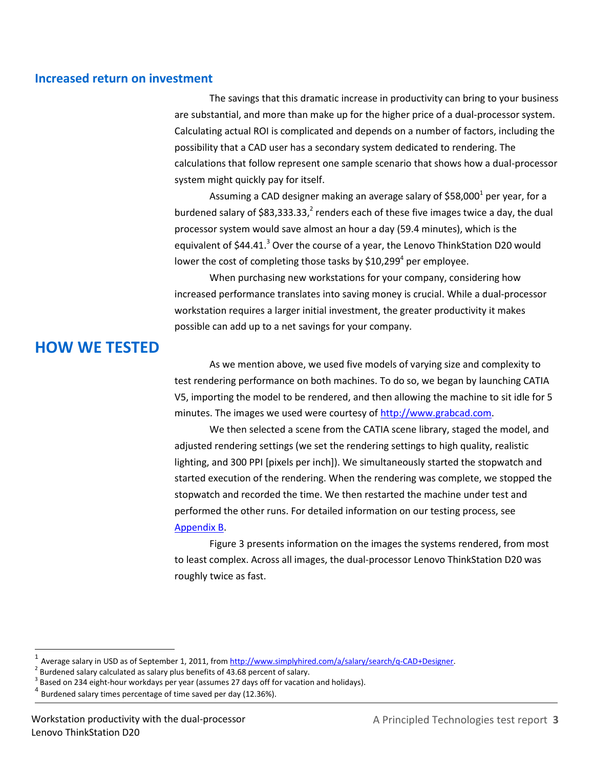### **Increased return on investment**

The savings that this dramatic increase in productivity can bring to your business are substantial, and more than make up for the higher price of a dual-processor system. Calculating actual ROI is complicated and depends on a number of factors, including the possibility that a CAD user has a secondary system dedicated to rendering. The calculations that follow represent one sample scenario that shows how a dual-processor system might quickly pay for itself.

Assuming a CAD designer making an average salary of \$58,000<sup>1</sup> per year, for a burdened salary of \$83,333.33,<sup>2</sup> renders each of these five images twice a day, the dual processor system would save almost an hour a day (59.4 minutes), which is the equivalent of \$44.41.<sup>3</sup> Over the course of a year, the Lenovo ThinkStation D20 would lower the cost of completing those tasks by \$10,299<sup>4</sup> per employee.

When purchasing new workstations for your company, considering how increased performance translates into saving money is crucial. While a dual-processor workstation requires a larger initial investment, the greater productivity it makes possible can add up to a net savings for your company.

## **HOW WE TESTED**

As we mention above, we used five models of varying size and complexity to test rendering performance on both machines. To do so, we began by launching CATIA V5, importing the model to be rendered, and then allowing the machine to sit idle for 5 minutes. The images we used were courtesy of [http://www.grabcad.com.](http://www.grabcad.com/)

We then selected a scene from the CATIA scene library, staged the model, and adjusted rendering settings (we set the rendering settings to high quality, realistic lighting, and 300 PPI [pixels per inch]). We simultaneously started the stopwatch and started execution of the rendering. When the rendering was complete, we stopped the stopwatch and recorded the time. We then restarted the machine under test and performed the other runs. For detailed information on our testing process, see [Appendix B.](#page-7-0)

Figure 3 presents information on the images the systems rendered, from most to least complex. Across all images, the dual-processor Lenovo ThinkStation D20 was roughly twice as fast.

 $\overline{\phantom{a}}$ 

<sup>1</sup> Average salary in USD as of September 1, 2011, fro[m http://www.simplyhired.com/a/salary/search/q-CAD+Designer.](http://www.simplyhired.com/a/salary/search/q-CAD+Designer)

<sup>2</sup> Burdened salary calculated as salary plus benefits of 43.68 percent of salary.

 $^3$  Based on 234 eight-hour workdays per year (assumes 27 days off for vacation and holidays).

<sup>4</sup> Burdened salary times percentage of time saved per day (12.36%).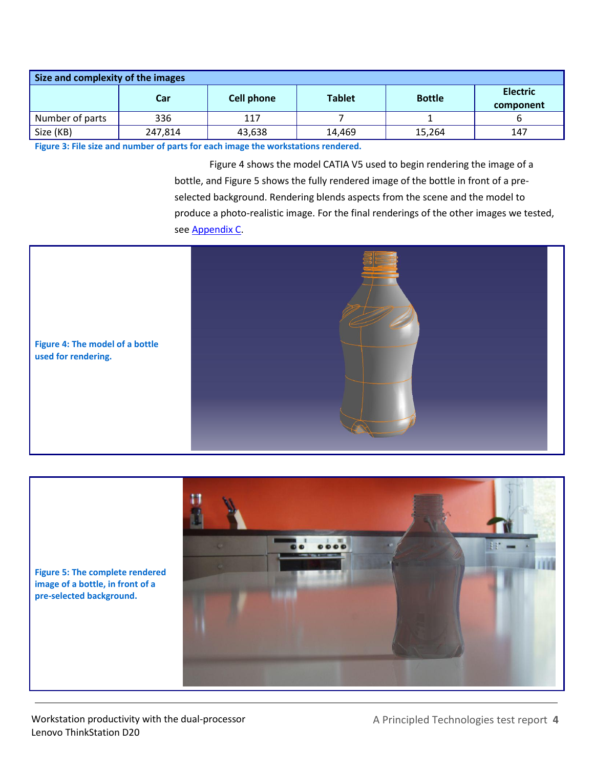| Size and complexity of the images |         |                   |               |               |                              |  |
|-----------------------------------|---------|-------------------|---------------|---------------|------------------------------|--|
|                                   | Car     | <b>Cell phone</b> | <b>Tablet</b> | <b>Bottle</b> | <b>Electric</b><br>component |  |
| Number of parts                   | 336     | 117               |               |               |                              |  |
| Size (KB)                         | 247,814 | 43,638            | 14,469        | 15,264        | 147                          |  |

**Figure 3: File size and number of parts for each image the workstations rendered.**

Figure 4 shows the model CATIA V5 used to begin rendering the image of a bottle, and Figure 5 shows the fully rendered image of the bottle in front of a preselected background. Rendering blends aspects from the scene and the model to produce a photo-realistic image. For the final renderings of the other images we tested, see [Appendix C.](#page-10-0)



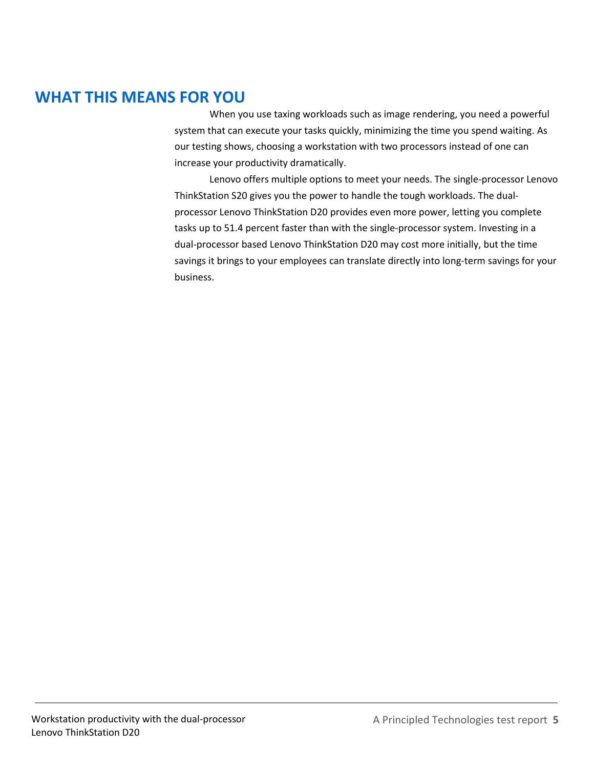# **WHAT THIS MEANS FOR YOU**

When you use taxing workloads such as image rendering, you need a powerful system that can execute your tasks quickly, minimizing the time you spend waiting. As our testing shows, choosing a workstation with two processors instead of one can increase your productivity dramatically.

Lenovo offers multiple options to meet your needs. The single-processor Lenovo ThinkStation S20 gives you the power to handle the tough workloads. The dualprocessor Lenovo ThinkStation D20 provides even more power, letting you complete tasks up to 51.4 percent faster than with the single-processor system. Investing in a dual-processor based Lenovo ThinkStation D20 may cost more initially, but the time savings it brings to your employees can translate directly into long-term savings for your business.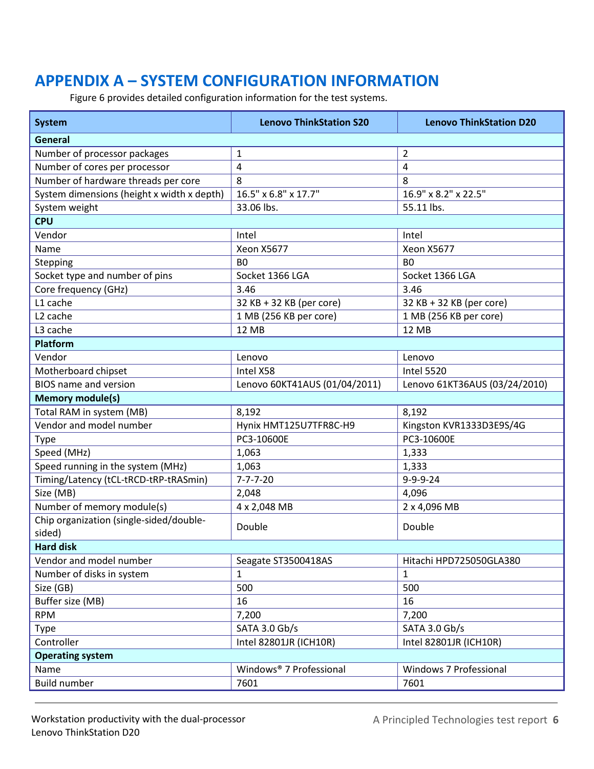# **APPENDIX A – SYSTEM CONFIGURATION INFORMATION**

Figure 6 provides detailed configuration information for the test systems.

| <b>System</b>                               | <b>Lenovo ThinkStation S20</b> | <b>Lenovo ThinkStation D20</b> |  |  |  |
|---------------------------------------------|--------------------------------|--------------------------------|--|--|--|
| <b>General</b>                              |                                |                                |  |  |  |
| Number of processor packages                | 1                              | $\overline{2}$                 |  |  |  |
| Number of cores per processor               | 4                              | 4                              |  |  |  |
| Number of hardware threads per core         | 8                              | 8                              |  |  |  |
| System dimensions (height x width x depth)  | 16.5" x 6.8" x 17.7"           | 16.9" x 8.2" x 22.5"           |  |  |  |
| System weight                               | 33.06 lbs.                     | 55.11 lbs.                     |  |  |  |
| <b>CPU</b>                                  |                                |                                |  |  |  |
| Vendor                                      | Intel                          | Intel                          |  |  |  |
| Name                                        | <b>Xeon X5677</b>              | <b>Xeon X5677</b>              |  |  |  |
| Stepping                                    | B <sub>0</sub>                 | B <sub>0</sub>                 |  |  |  |
| Socket type and number of pins              | Socket 1366 LGA                | Socket 1366 LGA                |  |  |  |
| Core frequency (GHz)                        | 3.46                           | 3.46                           |  |  |  |
| L1 cache                                    | 32 KB + 32 KB (per core)       | 32 KB + 32 KB (per core)       |  |  |  |
| L <sub>2</sub> cache                        | 1 MB (256 KB per core)         | 1 MB (256 KB per core)         |  |  |  |
| L3 cache                                    | <b>12 MB</b>                   | <b>12 MB</b>                   |  |  |  |
| <b>Platform</b>                             |                                |                                |  |  |  |
| Vendor                                      | Lenovo                         | Lenovo                         |  |  |  |
| Motherboard chipset                         | Intel X58                      | <b>Intel 5520</b>              |  |  |  |
| <b>BIOS name and version</b>                | Lenovo 60KT41AUS (01/04/2011)  | Lenovo 61KT36AUS (03/24/2010)  |  |  |  |
| <b>Memory module(s)</b>                     |                                |                                |  |  |  |
| Total RAM in system (MB)                    | 8,192                          | 8,192                          |  |  |  |
| Vendor and model number                     | Hynix HMT125U7TFR8C-H9         | Kingston KVR1333D3E9S/4G       |  |  |  |
| <b>Type</b>                                 | PC3-10600E                     | PC3-10600E                     |  |  |  |
| Speed (MHz)                                 | 1,063                          | 1,333                          |  |  |  |
| Speed running in the system (MHz)           | 1,063                          | 1,333                          |  |  |  |
| Timing/Latency (tCL-tRCD-tRP-tRASmin)       | $7 - 7 - 7 - 20$               | 9-9-9-24                       |  |  |  |
| Size (MB)                                   | 2,048                          | 4,096                          |  |  |  |
| Number of memory module(s)                  | 4 x 2,048 MB                   | 2 x 4,096 MB                   |  |  |  |
| Chip organization (single-sided/double-     | Double                         | Double                         |  |  |  |
| sided)                                      |                                |                                |  |  |  |
| <b>Hard disk</b><br>Vendor and model number |                                |                                |  |  |  |
|                                             | Seagate ST3500418AS            | Hitachi HPD725050GLA380        |  |  |  |
| Number of disks in system                   | 1<br>500                       | $\mathbf{1}$<br>500            |  |  |  |
| Size (GB)<br>Buffer size (MB)               | 16                             | 16                             |  |  |  |
|                                             |                                |                                |  |  |  |
| <b>RPM</b>                                  | 7,200                          | 7,200                          |  |  |  |
| <b>Type</b>                                 | SATA 3.0 Gb/s                  | SATA 3.0 Gb/s                  |  |  |  |
| Controller                                  | Intel 82801JR (ICH10R)         | Intel 82801JR (ICH10R)         |  |  |  |
| <b>Operating system</b>                     |                                |                                |  |  |  |
| Name                                        | Windows® 7 Professional        | Windows 7 Professional         |  |  |  |
| <b>Build number</b>                         | 7601                           | 7601                           |  |  |  |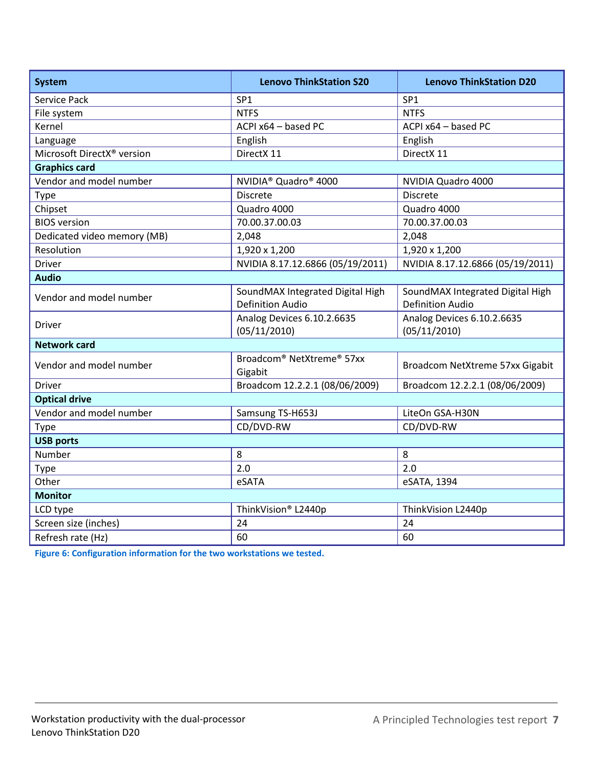| <b>System</b>               | <b>Lenovo ThinkStation S20</b>                              | <b>Lenovo ThinkStation D20</b>                              |  |  |  |
|-----------------------------|-------------------------------------------------------------|-------------------------------------------------------------|--|--|--|
| Service Pack                | SP <sub>1</sub>                                             | SP <sub>1</sub>                                             |  |  |  |
| File system                 | <b>NTFS</b>                                                 | <b>NTFS</b>                                                 |  |  |  |
| Kernel                      | ACPI x64 - based PC                                         | ACPI x64 - based PC                                         |  |  |  |
| Language                    | English                                                     | English                                                     |  |  |  |
| Microsoft DirectX® version  | DirectX 11                                                  | DirectX 11                                                  |  |  |  |
| <b>Graphics card</b>        |                                                             |                                                             |  |  |  |
| Vendor and model number     | NVIDIA <sup>®</sup> Quadro <sup>®</sup> 4000                | NVIDIA Quadro 4000                                          |  |  |  |
| <b>Type</b>                 | <b>Discrete</b>                                             | Discrete                                                    |  |  |  |
| Chipset                     | Quadro 4000                                                 | Quadro 4000                                                 |  |  |  |
| <b>BIOS</b> version         | 70.00.37.00.03                                              | 70.00.37.00.03                                              |  |  |  |
| Dedicated video memory (MB) | 2,048                                                       | 2,048                                                       |  |  |  |
| Resolution                  | 1,920 x 1,200                                               | 1,920 x 1,200                                               |  |  |  |
| <b>Driver</b>               | NVIDIA 8.17.12.6866 (05/19/2011)                            | NVIDIA 8.17.12.6866 (05/19/2011)                            |  |  |  |
| <b>Audio</b>                |                                                             |                                                             |  |  |  |
| Vendor and model number     | SoundMAX Integrated Digital High<br><b>Definition Audio</b> | SoundMAX Integrated Digital High<br><b>Definition Audio</b> |  |  |  |
| <b>Driver</b>               | Analog Devices 6.10.2.6635<br>(05/11/2010)                  | Analog Devices 6.10.2.6635<br>(05/11/2010)                  |  |  |  |
| <b>Network card</b>         |                                                             |                                                             |  |  |  |
| Vendor and model number     | Broadcom <sup>®</sup> NetXtreme® 57xx<br>Gigabit            | Broadcom NetXtreme 57xx Gigabit                             |  |  |  |
| <b>Driver</b>               | Broadcom 12.2.2.1 (08/06/2009)                              | Broadcom 12.2.2.1 (08/06/2009)                              |  |  |  |
| <b>Optical drive</b>        |                                                             |                                                             |  |  |  |
| Vendor and model number     | Samsung TS-H653J                                            | LiteOn GSA-H30N                                             |  |  |  |
| <b>Type</b>                 | CD/DVD-RW                                                   | CD/DVD-RW                                                   |  |  |  |
| <b>USB ports</b>            |                                                             |                                                             |  |  |  |
| Number                      | 8                                                           | 8                                                           |  |  |  |
| Type                        | 2.0                                                         | 2.0                                                         |  |  |  |
| Other                       | eSATA                                                       | eSATA, 1394                                                 |  |  |  |
| <b>Monitor</b>              |                                                             |                                                             |  |  |  |
| LCD type                    | ThinkVision® L2440p                                         | ThinkVision L2440p                                          |  |  |  |
| Screen size (inches)        | 24                                                          | 24                                                          |  |  |  |
| Refresh rate (Hz)           | 60                                                          | 60                                                          |  |  |  |

**Figure 6: Configuration information for the two workstations we tested.**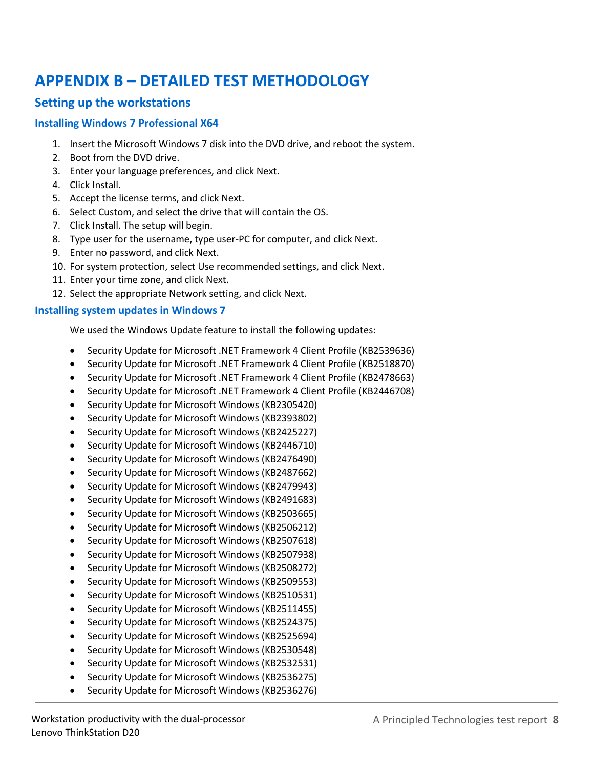# <span id="page-7-0"></span>**APPENDIX B – DETAILED TEST METHODOLOGY**

## **Setting up the workstations**

## **Installing Windows 7 Professional X64**

- 1. Insert the Microsoft Windows 7 disk into the DVD drive, and reboot the system.
- 2. Boot from the DVD drive.
- 3. Enter your language preferences, and click Next.
- 4. Click Install.
- 5. Accept the license terms, and click Next.
- 6. Select Custom, and select the drive that will contain the OS.
- 7. Click Install. The setup will begin.
- 8. Type user for the username, type user-PC for computer, and click Next.
- 9. Enter no password, and click Next.
- 10. For system protection, select Use recommended settings, and click Next.
- 11. Enter your time zone, and click Next.
- 12. Select the appropriate Network setting, and click Next.

## **Installing system updates in Windows 7**

We used the Windows Update feature to install the following updates:

- Security Update for Microsoft .NET Framework 4 Client Profile (KB2539636)
- Security Update for Microsoft .NET Framework 4 Client Profile (KB2518870)
- Security Update for Microsoft .NET Framework 4 Client Profile (KB2478663)
- Security Update for Microsoft .NET Framework 4 Client Profile (KB2446708)
- Security Update for Microsoft Windows (KB2305420)
- Security Update for Microsoft Windows (KB2393802)
- Security Update for Microsoft Windows (KB2425227)
- Security Update for Microsoft Windows (KB2446710)
- Security Update for Microsoft Windows (KB2476490)
- Security Update for Microsoft Windows (KB2487662)
- Security Update for Microsoft Windows (KB2479943)
- Security Update for Microsoft Windows (KB2491683)
- Security Update for Microsoft Windows (KB2503665)
- Security Update for Microsoft Windows (KB2506212)
- Security Update for Microsoft Windows (KB2507618)
- Security Update for Microsoft Windows (KB2507938)
- Security Update for Microsoft Windows (KB2508272)
- Security Update for Microsoft Windows (KB2509553)
- Security Update for Microsoft Windows (KB2510531)
- Security Update for Microsoft Windows (KB2511455)
- Security Update for Microsoft Windows (KB2524375)
- Security Update for Microsoft Windows (KB2525694)
- Security Update for Microsoft Windows (KB2530548)
- Security Update for Microsoft Windows (KB2532531)
- Security Update for Microsoft Windows (KB2536275)
- Security Update for Microsoft Windows (KB2536276)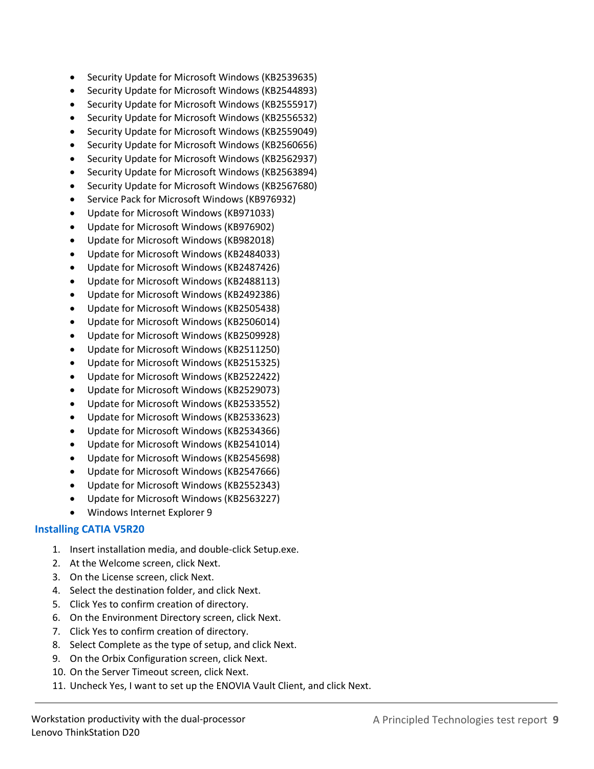- Security Update for Microsoft Windows (KB2539635)
- Security Update for Microsoft Windows (KB2544893)
- Security Update for Microsoft Windows (KB2555917)
- Security Update for Microsoft Windows (KB2556532)
- Security Update for Microsoft Windows (KB2559049)
- Security Update for Microsoft Windows (KB2560656)
- Security Update for Microsoft Windows (KB2562937)
- Security Update for Microsoft Windows (KB2563894)
- Security Update for Microsoft Windows (KB2567680)
- Service Pack for Microsoft Windows (KB976932)
- Update for Microsoft Windows (KB971033)
- Update for Microsoft Windows (KB976902)
- Update for Microsoft Windows (KB982018)
- Update for Microsoft Windows (KB2484033)
- Update for Microsoft Windows (KB2487426)
- Update for Microsoft Windows (KB2488113)
- Update for Microsoft Windows (KB2492386)
- Update for Microsoft Windows (KB2505438)
- Update for Microsoft Windows (KB2506014)
- Update for Microsoft Windows (KB2509928)
- Update for Microsoft Windows (KB2511250)
- Update for Microsoft Windows (KB2515325)
- Update for Microsoft Windows (KB2522422)
- Update for Microsoft Windows (KB2529073)
- Update for Microsoft Windows (KB2533552)
- Update for Microsoft Windows (KB2533623)
- Update for Microsoft Windows (KB2534366)
- Update for Microsoft Windows (KB2541014)
- Update for Microsoft Windows (KB2545698)
- Update for Microsoft Windows (KB2547666)
- Update for Microsoft Windows (KB2552343)
- Update for Microsoft Windows (KB2563227)
- Windows Internet Explorer 9

#### **Installing CATIA V5R20**

- 1. Insert installation media, and double-click Setup.exe.
- 2. At the Welcome screen, click Next.
- 3. On the License screen, click Next.
- 4. Select the destination folder, and click Next.
- 5. Click Yes to confirm creation of directory.
- 6. On the Environment Directory screen, click Next.
- 7. Click Yes to confirm creation of directory.
- 8. Select Complete as the type of setup, and click Next.
- 9. On the Orbix Configuration screen, click Next.
- 10. On the Server Timeout screen, click Next.
- 11. Uncheck Yes, I want to set up the ENOVIA Vault Client, and click Next.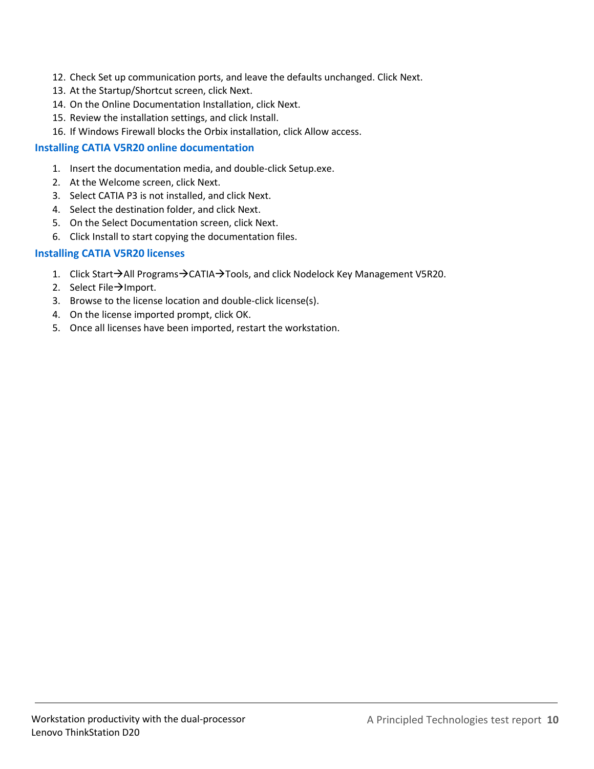- 12. Check Set up communication ports, and leave the defaults unchanged. Click Next.
- 13. At the Startup/Shortcut screen, click Next.
- 14. On the Online Documentation Installation, click Next.
- 15. Review the installation settings, and click Install.
- 16. If Windows Firewall blocks the Orbix installation, click Allow access.

#### **Installing CATIA V5R20 online documentation**

- 1. Insert the documentation media, and double-click Setup.exe.
- 2. At the Welcome screen, click Next.
- 3. Select CATIA P3 is not installed, and click Next.
- 4. Select the destination folder, and click Next.
- 5. On the Select Documentation screen, click Next.
- 6. Click Install to start copying the documentation files.

#### **Installing CATIA V5R20 licenses**

- 1. Click Start→All Programs→CATIA→Tools, and click Nodelock Key Management V5R20.
- 2. Select File $\rightarrow$ Import.
- 3. Browse to the license location and double-click license(s).
- 4. On the license imported prompt, click OK.
- 5. Once all licenses have been imported, restart the workstation.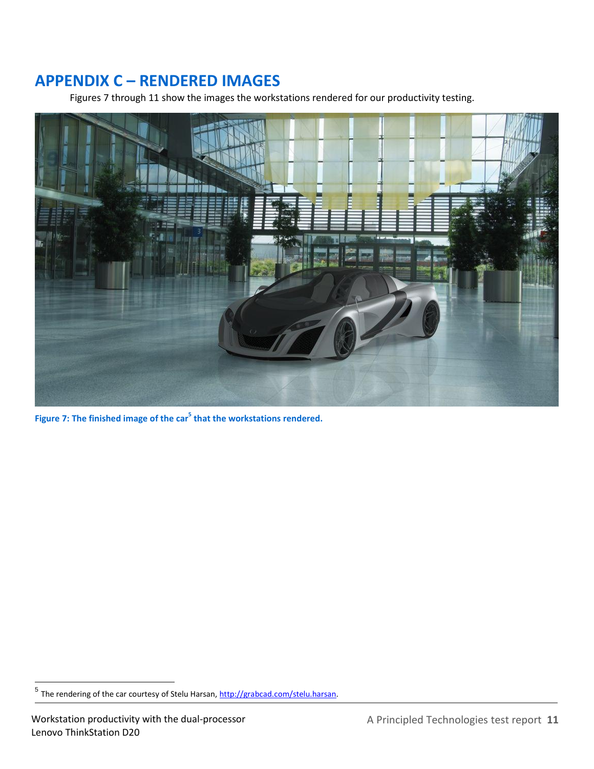# **APPENDIX C – RENDERED IMAGES**

<span id="page-10-0"></span>Figures 7 through 11 show the images the workstations rendered for our productivity testing.



**Figure 7: The finished image of the car<sup>5</sup> that the workstations rendered.**

<sup>&</sup>lt;u>s</u><br>The rendering of the car courtesy of Stelu Harsan, <u>http://grabcad.com/stelu.harsan</u>.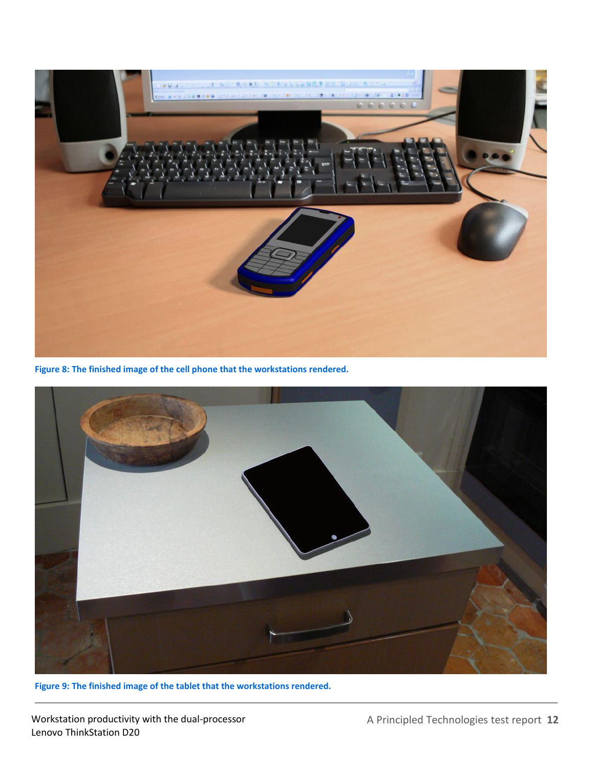

**Figure 8: The finished image of the cell phone that the workstations rendered.**



**Figure 9: The finished image of the tablet that the workstations rendered.**

Workstation productivity with the dual-processor A Principled Technologies test report 12 Lenovo ThinkStation D20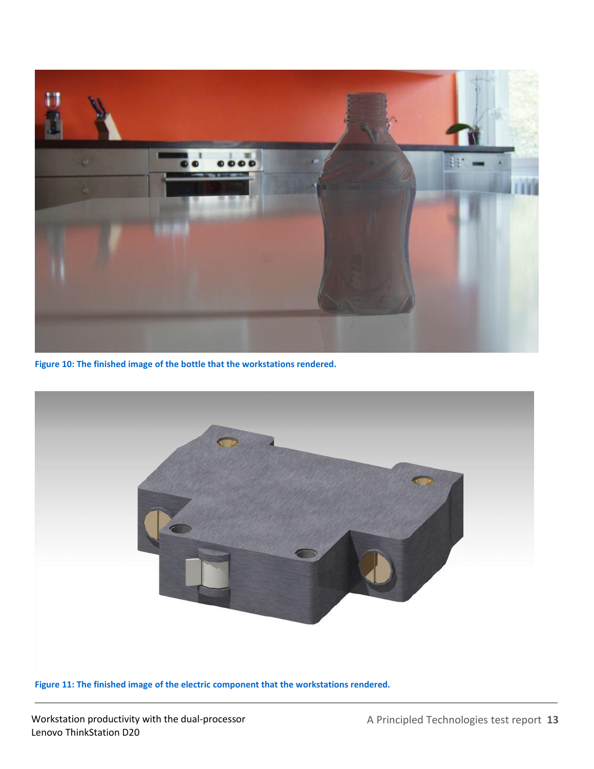

**Figure 10: The finished image of the bottle that the workstations rendered.**



**Figure 11: The finished image of the electric component that the workstations rendered.**